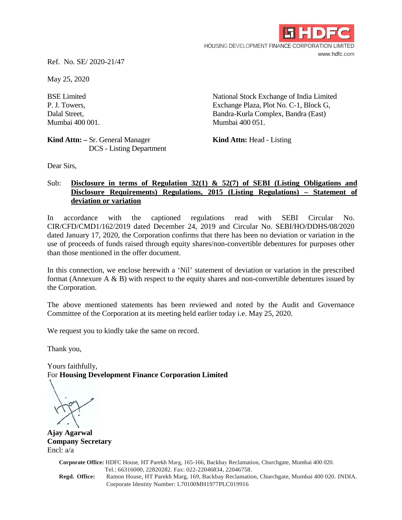

Ref. No. SE/ 2020-21/47

May 25, 2020

BSE Limited National Stock Exchange of India Limited P. J. Towers, Exchange Plaza, Plot No. C-1, Block G, Dalal Street, Bandra-Kurla Complex, Bandra (East) Mumbai 400 001. Mumbai 400 051.

**Kind Attn:** – Sr. General Manager **Kind Attn:** Head - Listing DCS - Listing Department

Dear Sirs,

## Sub: **Disclosure in terms of Regulation 32(1) & 52(7) of SEBI (Listing Obligations and Disclosure Requirements) Regulations, 2015 (Listing Regulations) – Statement of deviation or variation**

In accordance with the captioned regulations read with SEBI Circular No. CIR/CFD/CMD1/162/2019 dated December 24, 2019 and Circular No. SEBI/HO/DDHS/08/2020 dated January 17, 2020, the Corporation confirms that there has been no deviation or variation in the use of proceeds of funds raised through equity shares/non-convertible debentures for purposes other than those mentioned in the offer document.

In this connection, we enclose herewith a 'Nil' statement of deviation or variation in the prescribed format (Annexure  $A \& B$ ) with respect to the equity shares and non-convertible debentures issued by the Corporation.

The above mentioned statements has been reviewed and noted by the Audit and Governance Committee of the Corporation at its meeting held earlier today i.e. May 25, 2020.

We request you to kindly take the same on record.

Thank you,

Yours faithfully, For **Housing Development Finance Corporation Limited**

**Ajay Agarwal Company Secretary** Encl: a/a

> **Corporate Office:** HDFC House, HT Parekh Marg, 165-166, Backbay Reclamation, Churchgate, Mumbai 400 020. Tel.: 66316000, 22820282. Fax: 022-22046834, 22046758. **Regd. Office:** Ramon House, HT Parekh Marg, 169, Backbay Reclamation, Churchgate, Mumbai 400 020. INDIA. Corporate Identity Number: L70100MH1977PLC019916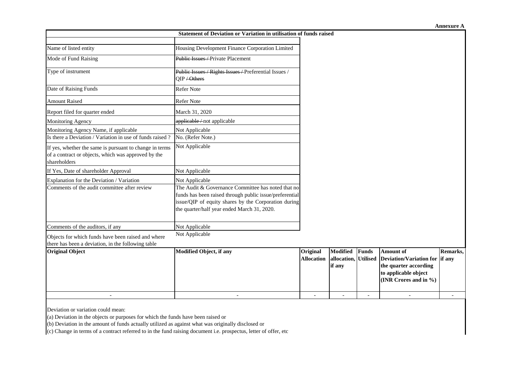| Statement of Deviation or Variation in utilisation of funds raised                                                             |                                                                                                                                                                                                                      |                               |                                            |              |                                                                                                                              |          |  |
|--------------------------------------------------------------------------------------------------------------------------------|----------------------------------------------------------------------------------------------------------------------------------------------------------------------------------------------------------------------|-------------------------------|--------------------------------------------|--------------|------------------------------------------------------------------------------------------------------------------------------|----------|--|
|                                                                                                                                |                                                                                                                                                                                                                      |                               |                                            |              |                                                                                                                              |          |  |
| Name of listed entity                                                                                                          | Housing Development Finance Corporation Limited                                                                                                                                                                      |                               |                                            |              |                                                                                                                              |          |  |
| Mode of Fund Raising                                                                                                           | Public Issues - Private Placement                                                                                                                                                                                    |                               |                                            |              |                                                                                                                              |          |  |
| Type of instrument                                                                                                             | Public Issues / Rights Issues / Preferential Issues /<br>QIP / Others                                                                                                                                                |                               |                                            |              |                                                                                                                              |          |  |
| Date of Raising Funds                                                                                                          | Refer Note                                                                                                                                                                                                           |                               |                                            |              |                                                                                                                              |          |  |
| <b>Amount Raised</b>                                                                                                           | Refer Note                                                                                                                                                                                                           |                               |                                            |              |                                                                                                                              |          |  |
| Report filed for quarter ended                                                                                                 | March 31, 2020                                                                                                                                                                                                       |                               |                                            |              |                                                                                                                              |          |  |
| Monitoring Agency                                                                                                              | applicable/not applicable                                                                                                                                                                                            |                               |                                            |              |                                                                                                                              |          |  |
| Monitoring Agency Name, if applicable                                                                                          | Not Applicable                                                                                                                                                                                                       |                               |                                            |              |                                                                                                                              |          |  |
| Is there a Deviation / Variation in use of funds raised?                                                                       | No. (Refer Note.)                                                                                                                                                                                                    |                               |                                            |              |                                                                                                                              |          |  |
| If yes, whether the same is pursuant to change in terms<br>of a contract or objects, which was approved by the<br>shareholders | Not Applicable                                                                                                                                                                                                       |                               |                                            |              |                                                                                                                              |          |  |
| If Yes, Date of shareholder Approval                                                                                           | Not Applicable                                                                                                                                                                                                       |                               |                                            |              |                                                                                                                              |          |  |
| Explanation for the Deviation / Variation                                                                                      | Not Applicable                                                                                                                                                                                                       |                               |                                            |              |                                                                                                                              |          |  |
| Comments of the audit committee after review                                                                                   | The Audit & Governance Committee has noted that no<br>funds has been raised through public issue/preferential<br>issue/QIP of equity shares by the Corporation during<br>the quarter/half year ended March 31, 2020. |                               |                                            |              |                                                                                                                              |          |  |
| Comments of the auditors, if any                                                                                               | Not Applicable                                                                                                                                                                                                       |                               |                                            |              |                                                                                                                              |          |  |
| Objects for which funds have been raised and where<br>there has been a deviation, in the following table                       | Not Applicable                                                                                                                                                                                                       |                               |                                            |              |                                                                                                                              |          |  |
| <b>Original Object</b>                                                                                                         | <b>Modified Object, if any</b>                                                                                                                                                                                       | Original<br><b>Allocation</b> | Modified<br>allocation, Utilised<br>if any | <b>Funds</b> | <b>Amount of</b><br>Deviation/Variation for if any<br>the quarter according<br>to applicable object<br>(INR Crores and in %) | Remarks, |  |
|                                                                                                                                |                                                                                                                                                                                                                      |                               |                                            |              |                                                                                                                              |          |  |

Deviation or variation could mean:

(a) Deviation in the objects or purposes for which the funds have been raised or

(b) Deviation in the amount of funds actually utilized as against what was originally disclosed or

(c) Change in terms of a contract referred to in the fund raising document i.e. prospectus, letter of offer, etc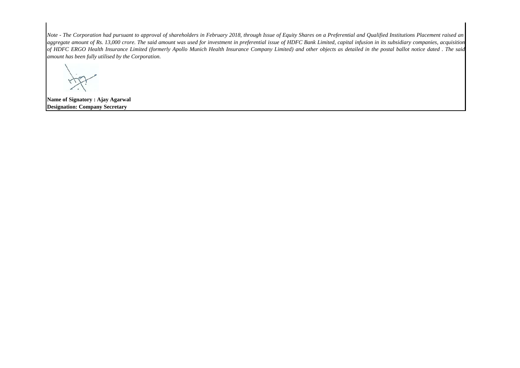Note - The Corporation had pursuant to approval of shareholders in February 2018, through Issue of Equity Shares on a Preferential and Qualified Institutions Placement raised an aggregate amount of Rs. 13,000 crore. The said amount was used for investment in preferential issue of HDFC Bank Limited, capital infusion in its subsidiary companies, acquisition of HDFC ERGO Health Insurance Limited (formerly Apollo Munich Health Insurance Company Limited) and other objects as detailed in the postal ballot notice dated. The said *amount has been fully utilised by the Corporation.*

**Name of Signatory : Ajay Agarwal Designation: Company Secretary**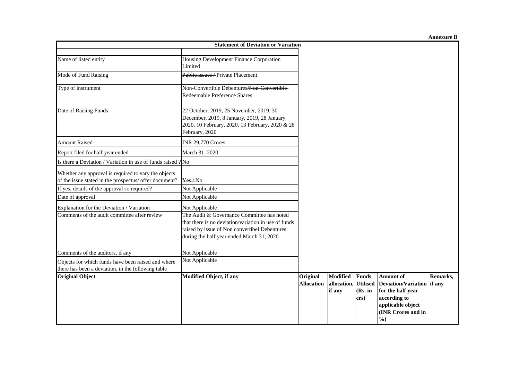**Annexure B**

|                                                                                                                | <b>Statement of Deviation or Variation</b>                                                                                                                                                       |                               |                                                   |                                 |                                                                                                                                                 |          |
|----------------------------------------------------------------------------------------------------------------|--------------------------------------------------------------------------------------------------------------------------------------------------------------------------------------------------|-------------------------------|---------------------------------------------------|---------------------------------|-------------------------------------------------------------------------------------------------------------------------------------------------|----------|
| Name of listed entity                                                                                          | Housing Development Finance Corporation<br>Limited                                                                                                                                               |                               |                                                   |                                 |                                                                                                                                                 |          |
| Mode of Fund Raising                                                                                           | Publie Issues - Private Placement                                                                                                                                                                |                               |                                                   |                                 |                                                                                                                                                 |          |
| Type of instrument                                                                                             | Non-Convertible Debentures/Non-Convertible-<br>Redeemable Preference Shares                                                                                                                      |                               |                                                   |                                 |                                                                                                                                                 |          |
| Date of Raising Funds                                                                                          | 22 October, 2019, 25 November, 2019, 30<br>December, 2019, 8 January, 2019, 28 January<br>2020, 10 February, 2020, 13 February, 2020 & 28<br>February, 2020                                      |                               |                                                   |                                 |                                                                                                                                                 |          |
| <b>Amount Raised</b>                                                                                           | <b>INR 29,770 Crores</b>                                                                                                                                                                         |                               |                                                   |                                 |                                                                                                                                                 |          |
| Report filed for half year ended                                                                               | March 31, 2020                                                                                                                                                                                   |                               |                                                   |                                 |                                                                                                                                                 |          |
| Is there a Deviation / Variation in use of funds raised ? No                                                   |                                                                                                                                                                                                  |                               |                                                   |                                 |                                                                                                                                                 |          |
| Whether any approval is required to vary the objects<br>of the issue stated in the prospectus/ offer document? | Yes/No                                                                                                                                                                                           |                               |                                                   |                                 |                                                                                                                                                 |          |
| If yes, details of the approval so required?                                                                   | Not Applicable                                                                                                                                                                                   |                               |                                                   |                                 |                                                                                                                                                 |          |
| Date of approval                                                                                               | Not Applicable                                                                                                                                                                                   |                               |                                                   |                                 |                                                                                                                                                 |          |
| Explanation for the Deviation / Variation                                                                      | Not Applicable                                                                                                                                                                                   |                               |                                                   |                                 |                                                                                                                                                 |          |
| Comments of the audit committee after review                                                                   | The Audit & Governance Committee has noted<br>that there is no deviation/variation in use of funds<br>raised by issue of Non convertibel Debentures<br>during the half year ended March 31, 2020 |                               |                                                   |                                 |                                                                                                                                                 |          |
| Comments of the auditors, if any                                                                               | Not Applicable                                                                                                                                                                                   |                               |                                                   |                                 |                                                                                                                                                 |          |
| Objects for which funds have been raised and where<br>there has been a deviation, in the following table       | Not Applicable                                                                                                                                                                                   |                               |                                                   |                                 |                                                                                                                                                 |          |
| <b>Original Object</b>                                                                                         | <b>Modified Object, if any</b>                                                                                                                                                                   | Original<br><b>Allocation</b> | <b>Modified</b><br>allocation, Utilised<br>if any | <b>Funds</b><br>(Rs. in<br>crs) | <b>Amount of</b><br>Deviation/Variation if any<br>for the half year<br>according to<br>applicable object<br>(INR Crores and in<br>$\frac{6}{2}$ | Remarks, |